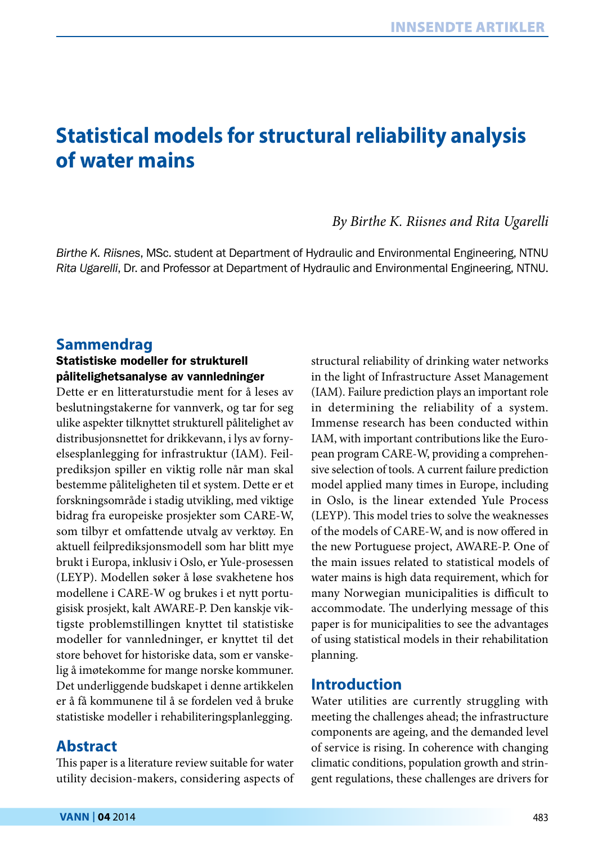# **Statistical models for structural reliability analysis of water mains**

## *By Birthe K. Riisnes and Rita Ugarelli*

*Birthe K. Riisnes*, MSc. student at Department of Hydraulic and Environmental Engineering, NTNU *Rita Ugarelli*, Dr. and Professor at Department of Hydraulic and Environmental Engineering, NTNU.

# **Sammendrag**

#### Statistiske modeller for strukturell pålitelighetsanalyse av vannledninger

Dette er en litteraturstudie ment for å leses av beslutningstakerne for vannverk, og tar for seg ulike aspekter tilknyttet strukturell pålitelighet av distribusjonsnettet for drikkevann, i lys av fornyelsesplanlegging for infrastruktur (IAM). Feilprediksjon spiller en viktig rolle når man skal bestemme påliteligheten til et system. Dette er et forskningsområde i stadig utvikling, med viktige bidrag fra europeiske prosjekter som CARE-W, som tilbyr et omfattende utvalg av verktøy. En aktuell feilprediksjonsmodell som har blitt mye brukt i Europa, inklusiv i Oslo, er Yule-prosessen (LEYP). Modellen søker å løse svakhetene hos modellene i CARE-W og brukes i et nytt portugisisk prosjekt, kalt AWARE-P. Den kanskje viktigste problemstillingen knyttet til statistiske modeller for vannledninger, er knyttet til det store behovet for historiske data, som er vanskelig å imøtekomme for mange norske kommuner. Det underliggende budskapet i denne artikkelen er å få kommunene til å se fordelen ved å bruke statistiske modeller i rehabiliteringsplanlegging.

#### **Abstract**

This paper is a literature review suitable for water utility decision-makers, considering aspects of structural reliability of drinking water networks in the light of Infrastructure Asset Management (IAM). Failure prediction plays an important role in determining the reliability of a system. Immense research has been conducted within IAM, with important contributions like the European program CARE-W, providing a comprehensive selection of tools. A current failure prediction model applied many times in Europe, including in Oslo, is the linear extended Yule Process (LEYP). This model tries to solve the weaknesses of the models of CARE-W, and is now offered in the new Portuguese project, AWARE-P. One of the main issues related to statistical models of water mains is high data requirement, which for many Norwegian municipalities is difficult to accommodate. The underlying message of this paper is for municipalities to see the advantages of using statistical models in their rehabilitation planning.

## **Introduction**

Water utilities are currently struggling with meeting the challenges ahead; the infrastructure components are ageing, and the demanded level of service is rising. In coherence with changing climatic conditions, population growth and stringent regulations, these challenges are drivers for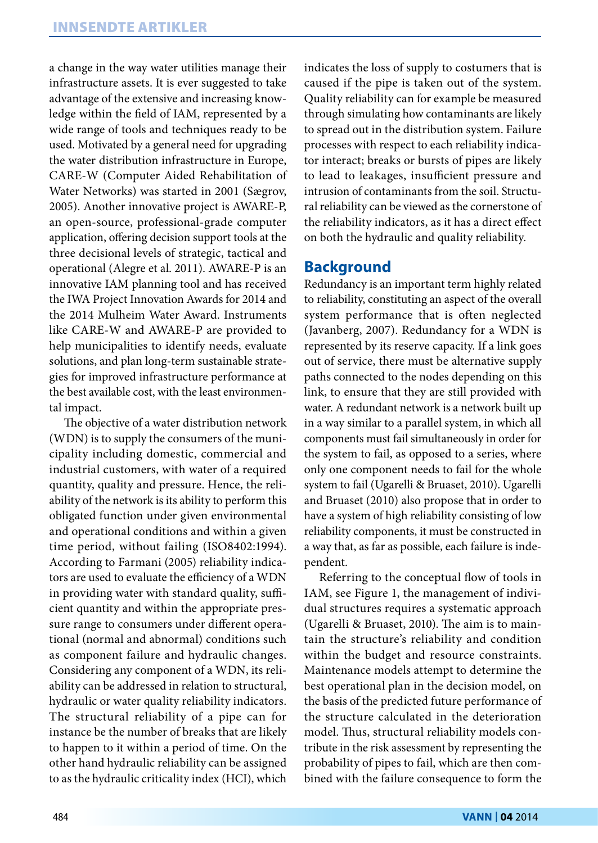a change in the way water utilities manage their infrastructure assets. It is ever suggested to take advantage of the extensive and increasing knowledge within the field of IAM, represented by a wide range of tools and techniques ready to be used. Motivated by a general need for upgrading the water distribution infrastructure in Europe, CARE-W (Computer Aided Rehabilitation of Water Networks) was started in 2001 (Sægrov, 2005). Another innovative project is AWARE-P, an open-source, professional-grade computer application, offering decision support tools at the three decisional levels of strategic, tactical and operational (Alegre et al. 2011). AWARE-P is an innovative IAM planning tool and has received the IWA Project Innovation Awards for 2014 and the 2014 Mulheim Water Award. Instruments like CARE-W and AWARE-P are provided to help municipalities to identify needs, evaluate solutions, and plan long-term sustainable strategies for improved infrastructure performance at the best available cost, with the least environmental impact.

The objective of a water distribution network (WDN) is to supply the consumers of the municipality including domestic, commercial and industrial customers, with water of a required quantity, quality and pressure. Hence, the reliability of the network is its ability to perform this obligated function under given environmental and operational conditions and within a given time period, without failing (ISO8402:1994). According to Farmani (2005) reliability indicators are used to evaluate the efficiency of a WDN in providing water with standard quality, sufficient quantity and within the appropriate pressure range to consumers under different operational (normal and abnormal) conditions such as component failure and hydraulic changes. Considering any component of a WDN, its reliability can be addressed in relation to structural, hydraulic or water quality reliability indicators. The structural reliability of a pipe can for instance be the number of breaks that are likely to happen to it within a period of time. On the other hand hydraulic reliability can be assigned to as the hydraulic criticality index (HCI), which

indicates the loss of supply to costumers that is caused if the pipe is taken out of the system. Quality reliability can for example be measured through simulating how contaminants are likely to spread out in the distribution system. Failure processes with respect to each reliability indicator interact; breaks or bursts of pipes are likely to lead to leakages, insufficient pressure and intrusion of contaminants from the soil. Structural reliability can be viewed as the cornerstone of the reliability indicators, as it has a direct effect on both the hydraulic and quality reliability.

### **Background**

Redundancy is an important term highly related to reliability, constituting an aspect of the overall system performance that is often neglected (Javanberg, 2007). Redundancy for a WDN is represented by its reserve capacity. If a link goes out of service, there must be alternative supply paths connected to the nodes depending on this link, to ensure that they are still provided with water. A redundant network is a network built up in a way similar to a parallel system, in which all components must fail simultaneously in order for the system to fail, as opposed to a series, where only one component needs to fail for the whole system to fail (Ugarelli & Bruaset, 2010). Ugarelli and Bruaset (2010) also propose that in order to have a system of high reliability consisting of low reliability components, it must be constructed in a way that, as far as possible, each failure is independent.

Referring to the conceptual flow of tools in IAM, see Figure 1, the management of individual structures requires a systematic approach (Ugarelli & Bruaset, 2010). The aim is to maintain the structure's reliability and condition within the budget and resource constraints. Maintenance models attempt to determine the best operational plan in the decision model, on the basis of the predicted future performance of the structure calculated in the deterioration model. Thus, structural reliability models contribute in the risk assessment by representing the probability of pipes to fail, which are then combined with the failure consequence to form the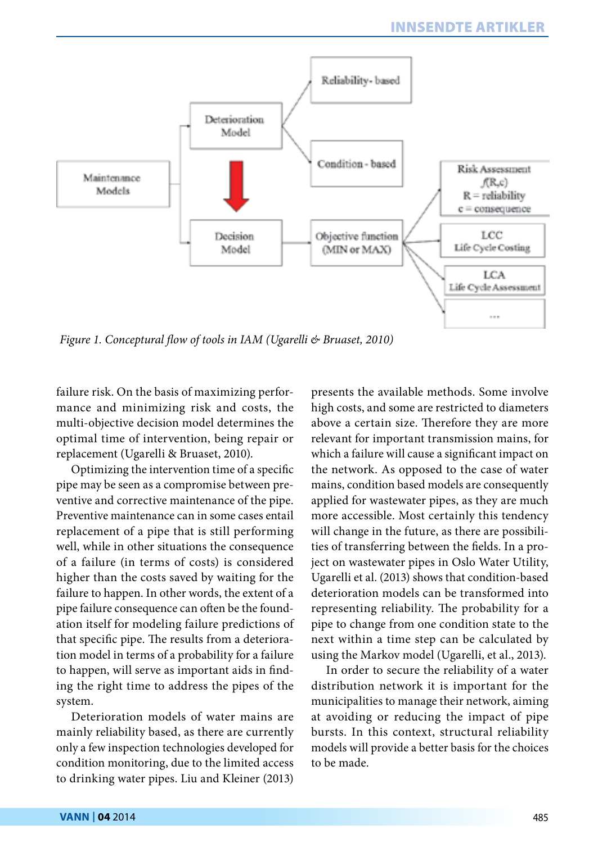

*Figure 1. Conceptural flow of tools in IAM (Ugarelli & Bruaset, 2010)*

failure risk. On the basis of maximizing performance and minimizing risk and costs, the multi-objective decision model determines the optimal time of intervention, being repair or replacement (Ugarelli & Bruaset, 2010).

Optimizing the intervention time of a specific pipe may be seen as a compromise between preventive and corrective maintenance of the pipe. Preventive maintenance can in some cases entail replacement of a pipe that is still performing well, while in other situations the consequence of a failure (in terms of costs) is considered higher than the costs saved by waiting for the failure to happen. In other words, the extent of a pipe failure consequence can often be the foundation itself for modeling failure predictions of that specific pipe. The results from a deterioration model in terms of a probability for a failure to happen, will serve as important aids in finding the right time to address the pipes of the system.

Deterioration models of water mains are mainly reliability based, as there are currently only a few inspection technologies developed for condition monitoring, due to the limited access to drinking water pipes. Liu and Kleiner (2013) presents the available methods. Some involve high costs, and some are restricted to diameters above a certain size. Therefore they are more relevant for important transmission mains, for which a failure will cause a significant impact on the network. As opposed to the case of water mains, condition based models are consequently applied for wastewater pipes, as they are much more accessible. Most certainly this tendency will change in the future, as there are possibilities of transferring between the fields. In a project on wastewater pipes in Oslo Water Utility, Ugarelli et al. (2013) shows that condition-based deterioration models can be transformed into representing reliability. The probability for a pipe to change from one condition state to the next within a time step can be calculated by using the Markov model (Ugarelli, et al., 2013).

In order to secure the reliability of a water distribution network it is important for the municipalities to manage their network, aiming at avoiding or reducing the impact of pipe bursts. In this context, structural reliability models will provide a better basis for the choices to be made.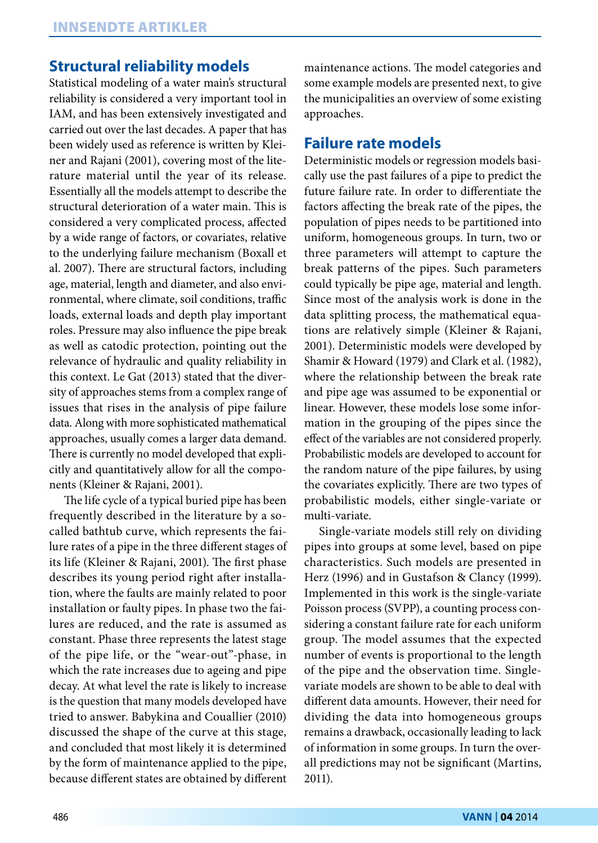## **Structural reliability models**

Statistical modeling of a water main's structural reliability is considered a very important tool in IAM, and has been extensively investigated and carried out over the last decades. A paper that has been widely used as reference is written by Kleiner and Rajani (2001), covering most of the literature material until the year of its release. Essentially all the models attempt to describe the structural deterioration of a water main. This is considered a very complicated process, affected by a wide range of factors, or covariates, relative to the underlying failure mechanism (Boxall et al. 2007). There are structural factors, including age, material, length and diameter, and also environmental, where climate, soil conditions, traffic loads, external loads and depth play important roles. Pressure may also influence the pipe break as well as catodic protection, pointing out the relevance of hydraulic and quality reliability in this context. Le Gat (2013) stated that the diversity of approaches stems from a complex range of issues that rises in the analysis of pipe failure data. Along with more sophisticated mathematical approaches, usually comes a larger data demand. There is currently no model developed that explicitly and quantitatively allow for all the components (Kleiner & Rajani, 2001).

The life cycle of a typical buried pipe has been frequently described in the literature by a socalled bathtub curve, which represents the failure rates of a pipe in the three different stages of its life (Kleiner & Rajani, 2001). The first phase describes its young period right after installation, where the faults are mainly related to poor installation or faulty pipes. In phase two the failures are reduced, and the rate is assumed as constant. Phase three represents the latest stage of the pipe life, or the "wear-out"-phase, in which the rate increases due to ageing and pipe decay. At what level the rate is likely to increase is the question that many models developed have tried to answer. Babykina and Couallier (2010) discussed the shape of the curve at this stage, and concluded that most likely it is determined by the form of maintenance applied to the pipe, because different states are obtained by different

maintenance actions. The model categories and some example models are presented next, to give the municipalities an overview of some existing approaches.

#### **Failure rate models**

Deterministic models or regression models basically use the past failures of a pipe to predict the future failure rate. In order to differentiate the factors affecting the break rate of the pipes, the population of pipes needs to be partitioned into uniform, homogeneous groups. In turn, two or three parameters will attempt to capture the break patterns of the pipes. Such parameters could typically be pipe age, material and length. Since most of the analysis work is done in the data splitting process, the mathematical equations are relatively simple (Kleiner & Rajani, 2001). Deterministic models were developed by Shamir & Howard (1979) and Clark et al. (1982), where the relationship between the break rate and pipe age was assumed to be exponential or linear. However, these models lose some information in the grouping of the pipes since the effect of the variables are not considered properly. Probabilistic models are developed to account for the random nature of the pipe failures, by using the covariates explicitly. There are two types of probabilistic models, either single-variate or multi-variate.

Single-variate models still rely on dividing pipes into groups at some level, based on pipe characteristics. Such models are presented in Herz (1996) and in Gustafson & Clancy (1999). Implemented in this work is the single-variate Poisson process (SVPP), a counting process considering a constant failure rate for each uniform group. The model assumes that the expected number of events is proportional to the length of the pipe and the observation time. Singlevariate models are shown to be able to deal with different data amounts. However, their need for dividing the data into homogeneous groups remains a drawback, occasionally leading to lack of information in some groups. In turn the overall predictions may not be significant (Martins, 2011).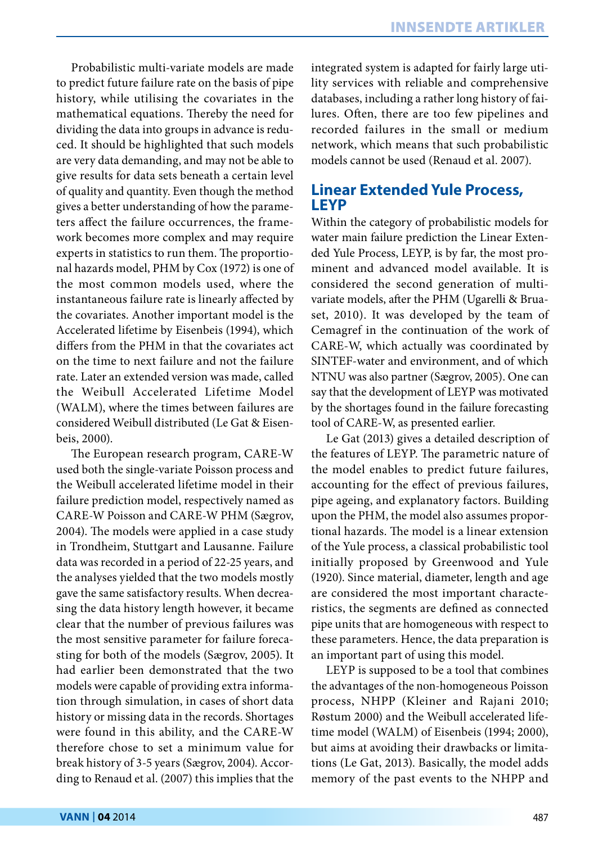Probabilistic multi-variate models are made to predict future failure rate on the basis of pipe history, while utilising the covariates in the mathematical equations. Thereby the need for dividing the data into groups in advance is reduced. It should be highlighted that such models are very data demanding, and may not be able to give results for data sets beneath a certain level of quality and quantity. Even though the method gives a better understanding of how the parameters affect the failure occurrences, the framework becomes more complex and may require experts in statistics to run them. The proportional hazards model, PHM by Cox (1972) is one of the most common models used, where the instantaneous failure rate is linearly affected by the covariates. Another important model is the Accelerated lifetime by Eisenbeis (1994), which differs from the PHM in that the covariates act on the time to next failure and not the failure rate. Later an extended version was made, called the Weibull Accelerated Lifetime Model (WALM), where the times between failures are considered Weibull distributed (Le Gat & Eisenbeis, 2000).

The European research program, CARE-W used both the single-variate Poisson process and the Weibull accelerated lifetime model in their failure prediction model, respectively named as CARE-W Poisson and CARE-W PHM (Sægrov, 2004). The models were applied in a case study in Trondheim, Stuttgart and Lausanne. Failure data was recorded in a period of 22-25 years, and the analyses yielded that the two models mostly gave the same satisfactory results. When decreasing the data history length however, it became clear that the number of previous failures was the most sensitive parameter for failure forecasting for both of the models (Sægrov, 2005). It had earlier been demonstrated that the two models were capable of providing extra information through simulation, in cases of short data history or missing data in the records. Shortages were found in this ability, and the CARE-W therefore chose to set a minimum value for break history of 3-5 years (Sægrov, 2004). According to Renaud et al. (2007) this implies that the integrated system is adapted for fairly large utility services with reliable and comprehensive databases, including a rather long history of failures. Often, there are too few pipelines and recorded failures in the small or medium network, which means that such probabilistic models cannot be used (Renaud et al. 2007).

## **Linear Extended Yule Process, LEYP**

Within the category of probabilistic models for water main failure prediction the Linear Extended Yule Process, LEYP, is by far, the most prominent and advanced model available. It is considered the second generation of multivariate models, after the PHM (Ugarelli & Bruaset, 2010). It was developed by the team of Cemagref in the continuation of the work of CARE-W, which actually was coordinated by SINTEF-water and environment, and of which NTNU was also partner (Sægrov, 2005). One can say that the development of LEYP was motivated by the shortages found in the failure forecasting tool of CARE-W, as presented earlier.

Le Gat (2013) gives a detailed description of the features of LEYP. The parametric nature of the model enables to predict future failures, accounting for the effect of previous failures, pipe ageing, and explanatory factors. Building upon the PHM, the model also assumes proportional hazards. The model is a linear extension of the Yule process, a classical probabilistic tool initially proposed by Greenwood and Yule (1920). Since material, diameter, length and age are considered the most important characteristics, the segments are defined as connected pipe units that are homogeneous with respect to these parameters. Hence, the data preparation is an important part of using this model.

LEYP is supposed to be a tool that combines the advantages of the non-homogeneous Poisson process, NHPP (Kleiner and Rajani 2010; Røstum 2000) and the Weibull accelerated lifetime model (WALM) of Eisenbeis (1994; 2000), but aims at avoiding their drawbacks or limitations (Le Gat, 2013). Basically, the model adds memory of the past events to the NHPP and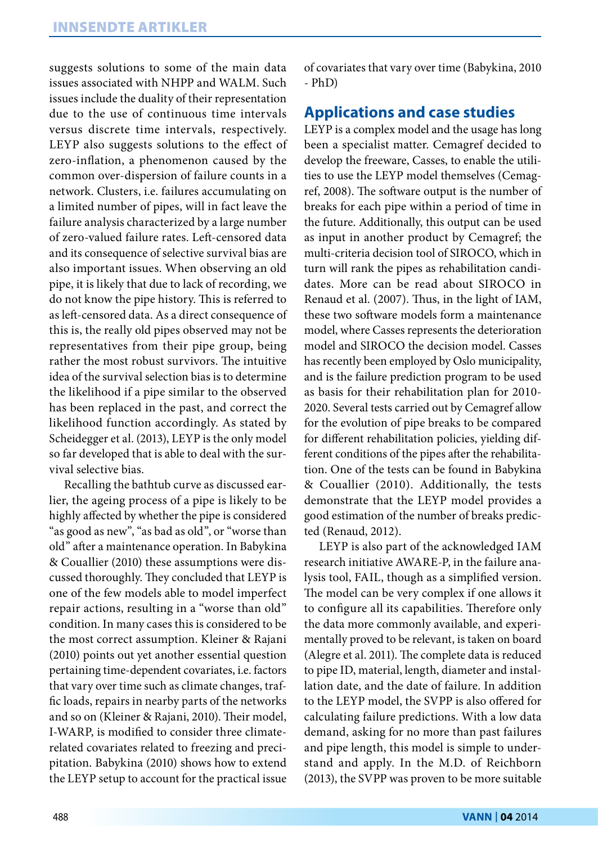suggests solutions to some of the main data issues associated with NHPP and WALM. Such issues include the duality of their representation due to the use of continuous time intervals versus discrete time intervals, respectively. LEYP also suggests solutions to the effect of zero-inflation, a phenomenon caused by the common over-dispersion of failure counts in a network. Clusters, i.e. failures accumulating on a limited number of pipes, will in fact leave the failure analysis characterized by a large number of zero-valued failure rates. Left-censored data and its consequence of selective survival bias are also important issues. When observing an old pipe, it is likely that due to lack of recording, we do not know the pipe history. This is referred to as left-censored data. As a direct consequence of this is, the really old pipes observed may not be representatives from their pipe group, being rather the most robust survivors. The intuitive idea of the survival selection bias is to determine the likelihood if a pipe similar to the observed has been replaced in the past, and correct the likelihood function accordingly. As stated by Scheidegger et al. (2013), LEYP is the only model so far developed that is able to deal with the survival selective bias.

Recalling the bathtub curve as discussed earlier, the ageing process of a pipe is likely to be highly affected by whether the pipe is considered "as good as new", "as bad as old", or "worse than old" after a maintenance operation. In Babykina & Couallier (2010) these assumptions were discussed thoroughly. They concluded that LEYP is one of the few models able to model imperfect repair actions, resulting in a "worse than old" condition. In many cases this is considered to be the most correct assumption. Kleiner & Rajani (2010) points out yet another essential question pertaining time-dependent covariates, i.e. factors that vary over time such as climate changes, traffic loads, repairs in nearby parts of the networks and so on (Kleiner & Rajani, 2010). Their model, I-WARP, is modified to consider three climaterelated covariates related to freezing and precipitation. Babykina (2010) shows how to extend the LEYP setup to account for the practical issue

of covariates that vary over time (Babykina, 2010 - PhD)

#### **Applications and case studies**

LEYP is a complex model and the usage has long been a specialist matter. Cemagref decided to develop the freeware, Casses, to enable the utilities to use the LEYP model themselves (Cemagref, 2008). The software output is the number of breaks for each pipe within a period of time in the future. Additionally, this output can be used as input in another product by Cemagref; the multi-criteria decision tool of SIROCO, which in turn will rank the pipes as rehabilitation candidates. More can be read about SIROCO in Renaud et al. (2007). Thus, in the light of IAM, these two software models form a maintenance model, where Casses represents the deterioration model and SIROCO the decision model. Casses has recently been employed by Oslo municipality, and is the failure prediction program to be used as basis for their rehabilitation plan for 2010-2020. Several tests carried out by Cemagref allow for the evolution of pipe breaks to be compared for different rehabilitation policies, yielding different conditions of the pipes after the rehabilitation. One of the tests can be found in Babykina & Couallier (2010). Additionally, the tests demonstrate that the LEYP model provides a good estimation of the number of breaks predicted (Renaud, 2012).

LEYP is also part of the acknowledged IAM research initiative AWARE-P, in the failure analysis tool, FAIL, though as a simplified version. The model can be very complex if one allows it to configure all its capabilities. Therefore only the data more commonly available, and experimentally proved to be relevant, is taken on board (Alegre et al. 2011). The complete data is reduced to pipe ID, material, length, diameter and installation date, and the date of failure. In addition to the LEYP model, the SVPP is also offered for calculating failure predictions. With a low data demand, asking for no more than past failures and pipe length, this model is simple to understand and apply. In the M.D. of Reichborn (2013), the SVPP was proven to be more suitable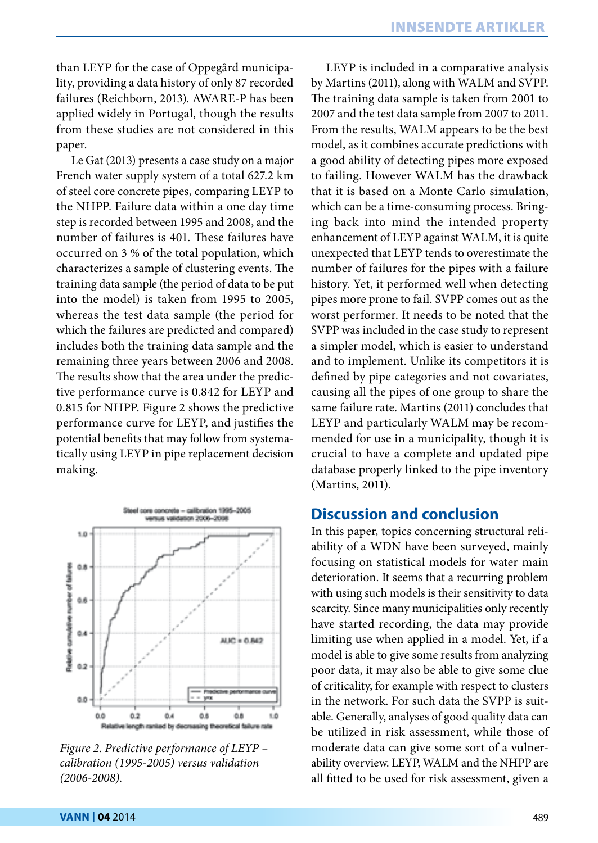than LEYP for the case of Oppegård municipality, providing a data history of only 87 recorded failures (Reichborn, 2013). AWARE-P has been applied widely in Portugal, though the results from these studies are not considered in this paper.

Le Gat (2013) presents a case study on a major French water supply system of a total 627.2 km of steel core concrete pipes, comparing LEYP to the NHPP. Failure data within a one day time step is recorded between 1995 and 2008, and the number of failures is 401. These failures have occurred on 3 % of the total population, which characterizes a sample of clustering events. The training data sample (the period of data to be put into the model) is taken from 1995 to 2005, whereas the test data sample (the period for which the failures are predicted and compared) includes both the training data sample and the remaining three years between 2006 and 2008. The results show that the area under the predictive performance curve is 0.842 for LEYP and 0.815 for NHPP. Figure 2 shows the predictive performance curve for LEYP, and justifies the potential benefits that may follow from systematically using LEYP in pipe replacement decision making.



*Figure 2. Predictive performance of LEYP – calibration (1995-2005) versus validation (2006-2008).*

LEYP is included in a comparative analysis by Martins (2011), along with WALM and SVPP. The training data sample is taken from 2001 to 2007 and the test data sample from 2007 to 2011. From the results, WALM appears to be the best model, as it combines accurate predictions with a good ability of detecting pipes more exposed to failing. However WALM has the drawback that it is based on a Monte Carlo simulation, which can be a time-consuming process. Bringing back into mind the intended property enhancement of LEYP against WALM, it is quite unexpected that LEYP tends to overestimate the number of failures for the pipes with a failure history. Yet, it performed well when detecting pipes more prone to fail. SVPP comes out as the worst performer. It needs to be noted that the SVPP was included in the case study to represent a simpler model, which is easier to understand and to implement. Unlike its competitors it is defined by pipe categories and not covariates, causing all the pipes of one group to share the same failure rate. Martins (2011) concludes that LEYP and particularly WALM may be recommended for use in a municipality, though it is crucial to have a complete and updated pipe database properly linked to the pipe inventory (Martins, 2011).

#### **Discussion and conclusion**

In this paper, topics concerning structural reliability of a WDN have been surveyed, mainly focusing on statistical models for water main deterioration. It seems that a recurring problem with using such models is their sensitivity to data scarcity. Since many municipalities only recently have started recording, the data may provide limiting use when applied in a model. Yet, if a model is able to give some results from analyzing poor data, it may also be able to give some clue of criticality, for example with respect to clusters in the network. For such data the SVPP is suitable. Generally, analyses of good quality data can be utilized in risk assessment, while those of moderate data can give some sort of a vulnerability overview. LEYP, WALM and the NHPP are all fitted to be used for risk assessment, given a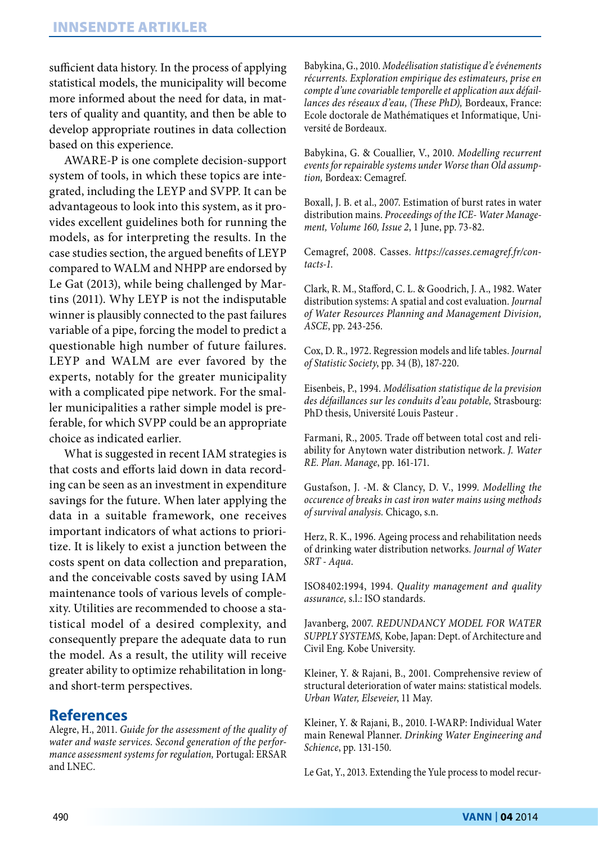sufficient data history. In the process of applying statistical models, the municipality will become more informed about the need for data, in matters of quality and quantity, and then be able to develop appropriate routines in data collection based on this experience.

AWARE-P is one complete decision-support system of tools, in which these topics are integrated, including the LEYP and SVPP. It can be advantageous to look into this system, as it provides excellent guidelines both for running the models, as for interpreting the results. In the case studies section, the argued benefits of LEYP compared to WALM and NHPP are endorsed by Le Gat (2013), while being challenged by Martins (2011). Why LEYP is not the indisputable winner is plausibly connected to the past failures variable of a pipe, forcing the model to predict a questionable high number of future failures. LEYP and WALM are ever favored by the experts, notably for the greater municipality with a complicated pipe network. For the smaller municipalities a rather simple model is preferable, for which SVPP could be an appropriate choice as indicated earlier.

What is suggested in recent IAM strategies is that costs and efforts laid down in data recording can be seen as an investment in expenditure savings for the future. When later applying the data in a suitable framework, one receives important indicators of what actions to prioritize. It is likely to exist a junction between the costs spent on data collection and preparation, and the conceivable costs saved by using IAM maintenance tools of various levels of complexity. Utilities are recommended to choose a statistical model of a desired complexity, and consequently prepare the adequate data to run the model. As a result, the utility will receive greater ability to optimize rehabilitation in longand short-term perspectives.

# **References**

Alegre, H., 2011. *Guide for the assessment of the quality of water and waste services. Second generation of the performance assessment systems for regulation,* Portugal: ERSAR and LNEC.

Babykina, G., 2010. *Modeélisation statistique d'e événements récurrents. Exploration empirique des estimateurs, prise en compte d'une covariable temporelle et application aux défaillances des réseaux d'eau, (These PhD),* Bordeaux, France: Ecole doctorale de Mathématiques et Informatique, Université de Bordeaux.

Babykina, G. & Couallier, V., 2010. *Modelling recurrent events for repairable systems under Worse than Old assumption,* Bordeax: Cemagref.

Boxall, J. B. et al., 2007. Estimation of burst rates in water distribution mains. *Proceedings of the ICE- Water Management, Volume 160, Issue 2*, 1 June, pp. 73-82.

Cemagref, 2008. Casses. *https://casses.cemagref.fr/contacts-1*.

Clark, R. M., Stafford, C. L. & Goodrich, J. A., 1982. Water distribution systems: A spatial and cost evaluation. *Journal of Water Resources Planning and Management Division, ASCE*, pp. 243-256.

Cox, D. R., 1972. Regression models and life tables. *Journal of Statistic Society*, pp. 34 (B), 187-220.

Eisenbeis, P., 1994. *Modélisation statistique de la prevision des défaillances sur les conduits d'eau potable,* Strasbourg: PhD thesis, Université Louis Pasteur .

Farmani, R., 2005. Trade off between total cost and reliability for Anytown water distribution network. *J. Water RE. Plan. Manage*, pp. 161-171.

Gustafson, J. -M. & Clancy, D. V., 1999. *Modelling the occurence of breaks in cast iron water mains using methods of survival analysis.* Chicago, s.n.

Herz, R. K., 1996. Ageing process and rehabilitation needs of drinking water distribution networks. *Journal of Water SRT - Aqua*.

ISO8402:1994, 1994. *Quality management and quality assurance,* s.l.: ISO standards.

Javanberg, 2007. *REDUNDANCY MODEL FOR WATER SUPPLY SYSTEMS,* Kobe, Japan: Dept. of Architecture and Civil Eng. Kobe University.

Kleiner, Y. & Rajani, B., 2001. Comprehensive review of structural deterioration of water mains: statistical models. *Urban Water, Elseveier*, 11 May.

Kleiner, Y. & Rajani, B., 2010. I-WARP: Individual Water main Renewal Planner. *Drinking Water Engineering and Schience*, pp. 131-150.

Le Gat, Y., 2013. Extending the Yule process to model recur